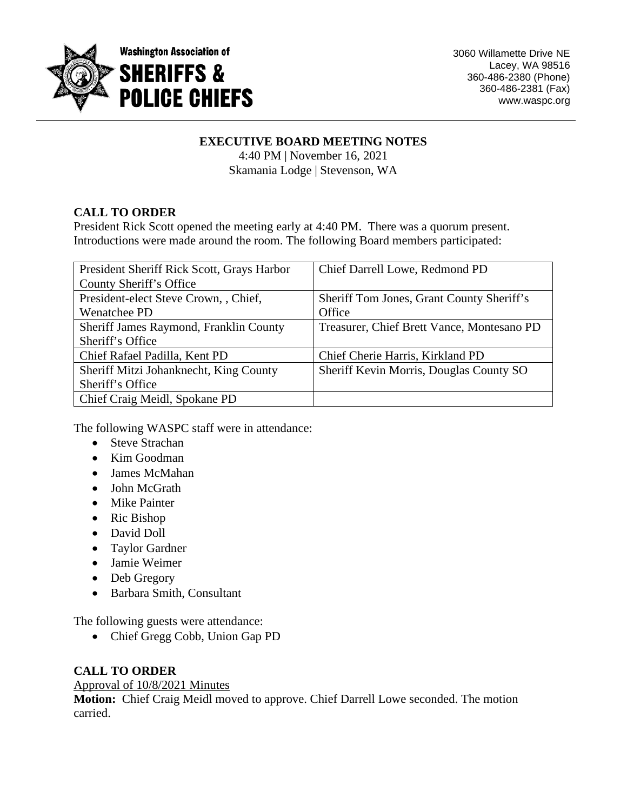

# **EXECUTIVE BOARD MEETING NOTES**

4:40 PM | November 16, 2021 Skamania Lodge | Stevenson, WA

# **CALL TO ORDER**

President Rick Scott opened the meeting early at 4:40 PM. There was a quorum present. Introductions were made around the room. The following Board members participated:

| President Sheriff Rick Scott, Grays Harbor | Chief Darrell Lowe, Redmond PD             |
|--------------------------------------------|--------------------------------------------|
| County Sheriff's Office                    |                                            |
| President-elect Steve Crown, , Chief,      | Sheriff Tom Jones, Grant County Sheriff's  |
| Wenatchee PD                               | Office                                     |
| Sheriff James Raymond, Franklin County     | Treasurer, Chief Brett Vance, Montesano PD |
| Sheriff's Office                           |                                            |
| Chief Rafael Padilla, Kent PD              | Chief Cherie Harris, Kirkland PD           |
| Sheriff Mitzi Johanknecht, King County     | Sheriff Kevin Morris, Douglas County SO    |
| Sheriff's Office                           |                                            |
| Chief Craig Meidl, Spokane PD              |                                            |

The following WASPC staff were in attendance:

- Steve Strachan
- Kim Goodman
- James McMahan
- John McGrath
- Mike Painter
- Ric Bishop
- David Doll
- Taylor Gardner
- Jamie Weimer
- Deb Gregory
- Barbara Smith, Consultant

The following guests were attendance:

• Chief Gregg Cobb, Union Gap PD

# **CALL TO ORDER**

#### Approval of 10/8/2021 Minutes

**Motion:** Chief Craig Meidl moved to approve. Chief Darrell Lowe seconded. The motion carried.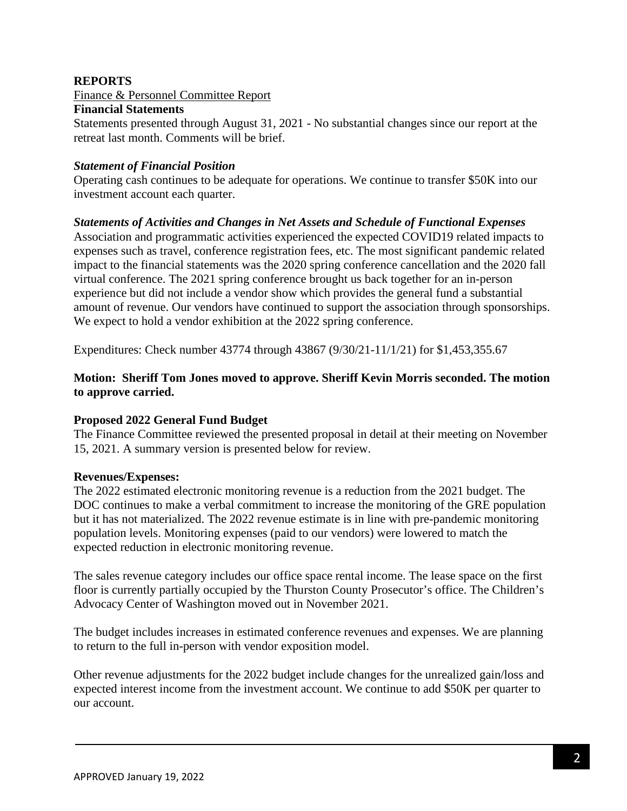### **REPORTS**

Finance & Personnel Committee Report

#### **Financial Statements**

Statements presented through August 31, 2021 - No substantial changes since our report at the retreat last month. Comments will be brief.

#### *Statement of Financial Position*

Operating cash continues to be adequate for operations. We continue to transfer \$50K into our investment account each quarter.

### *Statements of Activities and Changes in Net Assets and Schedule of Functional Expenses*

Association and programmatic activities experienced the expected COVID19 related impacts to expenses such as travel, conference registration fees, etc. The most significant pandemic related impact to the financial statements was the 2020 spring conference cancellation and the 2020 fall virtual conference. The 2021 spring conference brought us back together for an in-person experience but did not include a vendor show which provides the general fund a substantial amount of revenue. Our vendors have continued to support the association through sponsorships. We expect to hold a vendor exhibition at the 2022 spring conference.

Expenditures: Check number 43774 through 43867 (9/30/21-11/1/21) for \$1,453,355.67

# **Motion: Sheriff Tom Jones moved to approve. Sheriff Kevin Morris seconded. The motion to approve carried.**

#### **Proposed 2022 General Fund Budget**

The Finance Committee reviewed the presented proposal in detail at their meeting on November 15, 2021. A summary version is presented below for review.

#### **Revenues/Expenses:**

The 2022 estimated electronic monitoring revenue is a reduction from the 2021 budget. The DOC continues to make a verbal commitment to increase the monitoring of the GRE population but it has not materialized. The 2022 revenue estimate is in line with pre-pandemic monitoring population levels. Monitoring expenses (paid to our vendors) were lowered to match the expected reduction in electronic monitoring revenue.

The sales revenue category includes our office space rental income. The lease space on the first floor is currently partially occupied by the Thurston County Prosecutor's office. The Children's Advocacy Center of Washington moved out in November 2021.

The budget includes increases in estimated conference revenues and expenses. We are planning to return to the full in-person with vendor exposition model.

Other revenue adjustments for the 2022 budget include changes for the unrealized gain/loss and expected interest income from the investment account. We continue to add \$50K per quarter to our account.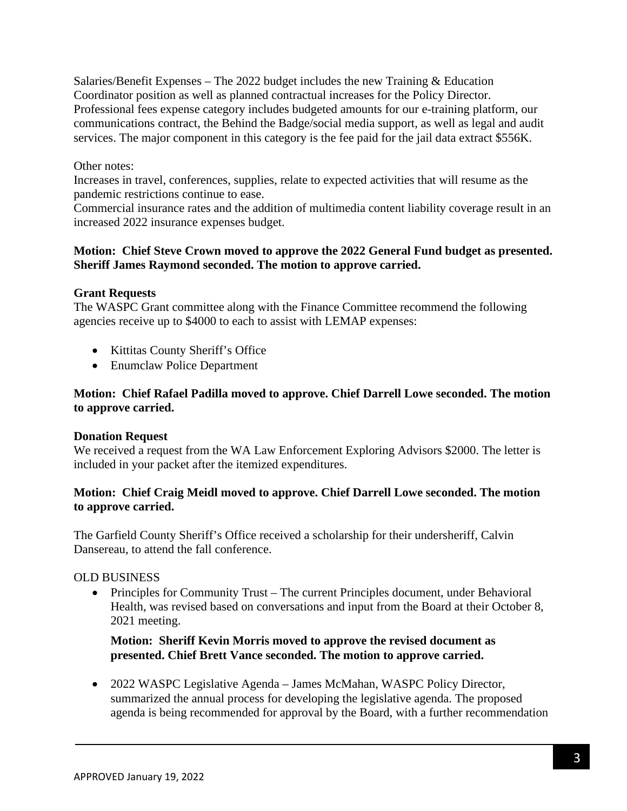Salaries/Benefit Expenses – The 2022 budget includes the new Training & Education Coordinator position as well as planned contractual increases for the Policy Director. Professional fees expense category includes budgeted amounts for our e-training platform, our communications contract, the Behind the Badge/social media support, as well as legal and audit services. The major component in this category is the fee paid for the jail data extract \$556K.

### Other notes:

Increases in travel, conferences, supplies, relate to expected activities that will resume as the pandemic restrictions continue to ease.

Commercial insurance rates and the addition of multimedia content liability coverage result in an increased 2022 insurance expenses budget.

### **Motion: Chief Steve Crown moved to approve the 2022 General Fund budget as presented. Sheriff James Raymond seconded. The motion to approve carried.**

#### **Grant Requests**

The WASPC Grant committee along with the Finance Committee recommend the following agencies receive up to \$4000 to each to assist with LEMAP expenses:

- Kittitas County Sheriff's Office
- Enumclaw Police Department

### **Motion: Chief Rafael Padilla moved to approve. Chief Darrell Lowe seconded. The motion to approve carried.**

#### **Donation Request**

We received a request from the WA Law Enforcement Exploring Advisors \$2000. The letter is included in your packet after the itemized expenditures.

### **Motion: Chief Craig Meidl moved to approve. Chief Darrell Lowe seconded. The motion to approve carried.**

The Garfield County Sheriff's Office received a scholarship for their undersheriff, Calvin Dansereau, to attend the fall conference.

#### OLD BUSINESS

• Principles for Community Trust – The current Principles document, under Behavioral Health, was revised based on conversations and input from the Board at their October 8, 2021 meeting.

### **Motion: Sheriff Kevin Morris moved to approve the revised document as presented. Chief Brett Vance seconded. The motion to approve carried.**

• 2022 WASPC Legislative Agenda – James McMahan, WASPC Policy Director, summarized the annual process for developing the legislative agenda. The proposed agenda is being recommended for approval by the Board, with a further recommendation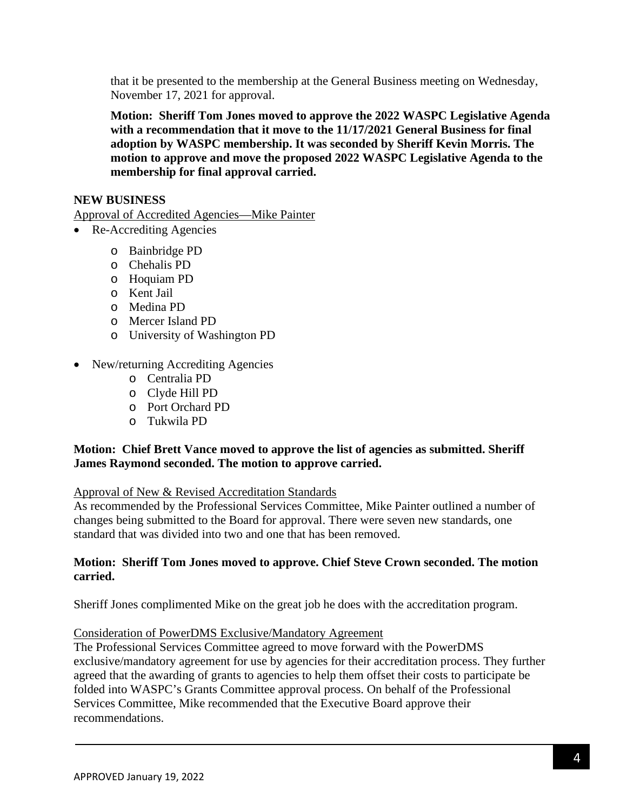that it be presented to the membership at the General Business meeting on Wednesday, November 17, 2021 for approval.

**Motion: Sheriff Tom Jones moved to approve the 2022 WASPC Legislative Agenda with a recommendation that it move to the 11/17/2021 General Business for final adoption by WASPC membership. It was seconded by Sheriff Kevin Morris. The motion to approve and move the proposed 2022 WASPC Legislative Agenda to the membership for final approval carried.**

### **NEW BUSINESS**

Approval of Accredited Agencies—Mike Painter

- Re-Accrediting Agencies
	- o Bainbridge PD
	- o Chehalis PD
	- o Hoquiam PD
	- o Kent Jail
	- o Medina PD
	- o Mercer Island PD
	- o University of Washington PD
- New/returning Accrediting Agencies
	- o Centralia PD
	- o Clyde Hill PD
	- o Port Orchard PD
	- o Tukwila PD

# **Motion: Chief Brett Vance moved to approve the list of agencies as submitted. Sheriff James Raymond seconded. The motion to approve carried.**

#### Approval of New & Revised Accreditation Standards

As recommended by the Professional Services Committee, Mike Painter outlined a number of changes being submitted to the Board for approval. There were seven new standards, one standard that was divided into two and one that has been removed.

### **Motion: Sheriff Tom Jones moved to approve. Chief Steve Crown seconded. The motion carried.**

Sheriff Jones complimented Mike on the great job he does with the accreditation program.

#### Consideration of PowerDMS Exclusive/Mandatory Agreement

The Professional Services Committee agreed to move forward with the PowerDMS exclusive/mandatory agreement for use by agencies for their accreditation process. They further agreed that the awarding of grants to agencies to help them offset their costs to participate be folded into WASPC's Grants Committee approval process. On behalf of the Professional Services Committee, Mike recommended that the Executive Board approve their recommendations.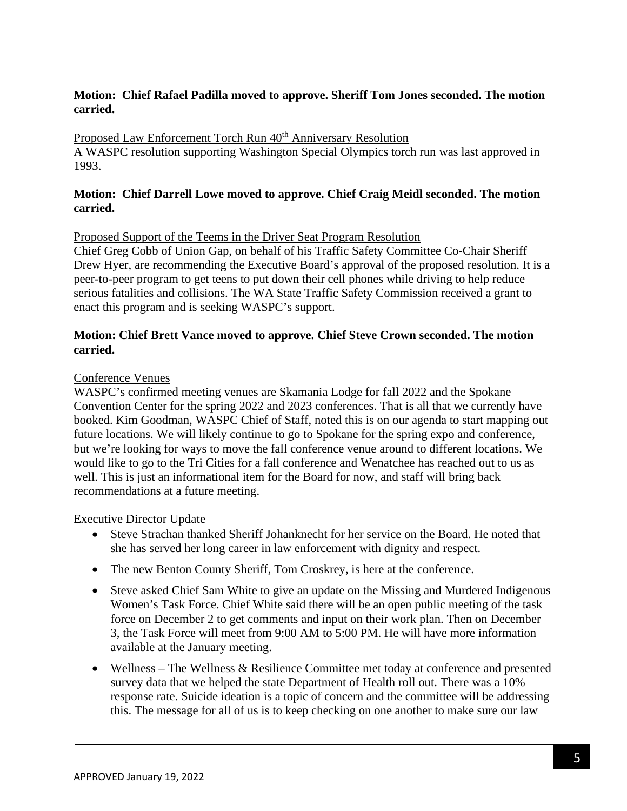# **Motion: Chief Rafael Padilla moved to approve. Sheriff Tom Jones seconded. The motion carried.**

# Proposed Law Enforcement Torch Run 40<sup>th</sup> Anniversary Resolution

A WASPC resolution supporting Washington Special Olympics torch run was last approved in 1993.

### **Motion: Chief Darrell Lowe moved to approve. Chief Craig Meidl seconded. The motion carried.**

#### Proposed Support of the Teems in the Driver Seat Program Resolution

Chief Greg Cobb of Union Gap, on behalf of his Traffic Safety Committee Co-Chair Sheriff Drew Hyer, are recommending the Executive Board's approval of the proposed resolution. It is a peer-to-peer program to get teens to put down their cell phones while driving to help reduce serious fatalities and collisions. The WA State Traffic Safety Commission received a grant to enact this program and is seeking WASPC's support.

### **Motion: Chief Brett Vance moved to approve. Chief Steve Crown seconded. The motion carried.**

#### Conference Venues

WASPC's confirmed meeting venues are Skamania Lodge for fall 2022 and the Spokane Convention Center for the spring 2022 and 2023 conferences. That is all that we currently have booked. Kim Goodman, WASPC Chief of Staff, noted this is on our agenda to start mapping out future locations. We will likely continue to go to Spokane for the spring expo and conference, but we're looking for ways to move the fall conference venue around to different locations. We would like to go to the Tri Cities for a fall conference and Wenatchee has reached out to us as well. This is just an informational item for the Board for now, and staff will bring back recommendations at a future meeting.

Executive Director Update

- Steve Strachan thanked Sheriff Johanknecht for her service on the Board. He noted that she has served her long career in law enforcement with dignity and respect.
- The new Benton County Sheriff, Tom Croskrey, is here at the conference.
- Steve asked Chief Sam White to give an update on the Missing and Murdered Indigenous Women's Task Force. Chief White said there will be an open public meeting of the task force on December 2 to get comments and input on their work plan. Then on December 3, the Task Force will meet from 9:00 AM to 5:00 PM. He will have more information available at the January meeting.
- Wellness The Wellness & Resilience Committee met today at conference and presented survey data that we helped the state Department of Health roll out. There was a 10% response rate. Suicide ideation is a topic of concern and the committee will be addressing this. The message for all of us is to keep checking on one another to make sure our law